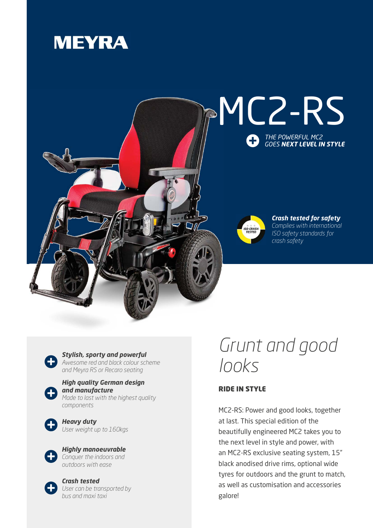## **MEYRA**



*Stylish, sporty and powerful Awesome red and black colour scheme and Meyra RS or Recaro seating*



*High quality German design and manufacture Made to last with the highest quality components*



*Heavy duty User weight up to 160kgs*



*Highly manoeuvrable Conquer the indoors and outdoors with ease*



*Crash tested User can be transported by bus and maxi taxi*

## *Grunt and good looks*

## RIDE IN STYLE

MC2-RS: Power and good looks, together at last. This special edition of the beautifully engineered MC2 takes you to the next level in style and power, with an MC2-RS exclusive seating system, 15" black anodised drive rims, optional wide tyres for outdoors and the grunt to match, as well as customisation and accessories galore!